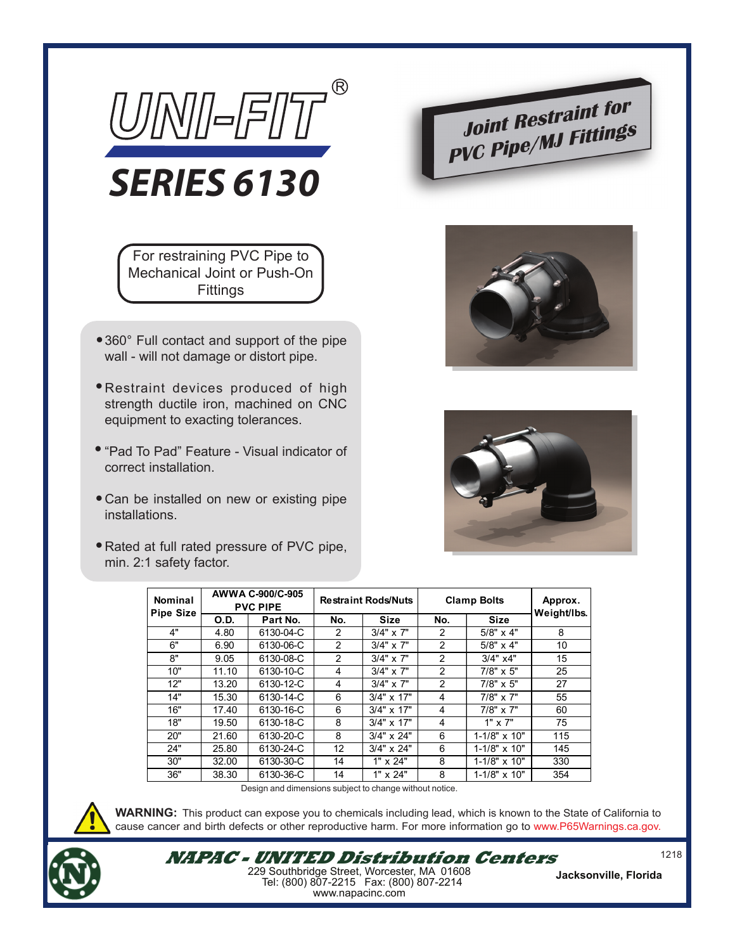

For restraining PVC Pipe to Mechanical Joint or Push-On **Fittings** 

- 360° Full contact and support of the pipe wall - will not damage or distort pipe.
- Restraint devices produced of high strength ductile iron, machined on CNC equipment to exacting tolerances.
- "Pad To Pad" Feature Visual indicator of correct installation.
- Can be installed on new or existing pipe installations.
- Rated at full rated pressure of PVC pipe, min. 2:1 safety factor.







| Nominal<br><b>Pipe Size</b> | AWWA C-900/C-905<br><b>PVC PIPE</b> |           | <b>Restraint Rods/Nuts</b> |                   | <b>Clamp Bolts</b> |                       | Approx.<br>Weight/Ibs. |
|-----------------------------|-------------------------------------|-----------|----------------------------|-------------------|--------------------|-----------------------|------------------------|
|                             | <b>O.D.</b>                         | Part No.  | No.                        | <b>Size</b>       | No.                | <b>Size</b>           |                        |
| 4"                          | 4.80                                | 6130-04-C | 2                          | $3/4" \times 7"$  | $\mathfrak{p}$     | $5/8" \times 4"$      | 8                      |
| 6"                          | 6.90                                | 6130-06-C | 2                          | $3/4" \times 7"$  | 2                  | $5/8" \times 4"$      | 10                     |
| 8"                          | 9.05                                | 6130-08-C | 2                          | $3/4" \times 7"$  | 2                  | 3/4" x4"              | 15                     |
| 10"                         | 11.10                               | 6130-10-C | 4                          | $3/4" \times 7"$  | $\mathfrak{p}$     | $7/8" \times 5"$      | 25                     |
| 12"                         | 13.20                               | 6130-12-C | 4                          | $3/4" \times 7"$  | $\overline{2}$     | $7/8" \times 5"$      | 27                     |
| 14"                         | 15.30                               | 6130-14-C | 6                          | $3/4" \times 17"$ | 4                  | $7/8" \times 7"$      | 55                     |
| 16"                         | 17.40                               | 6130-16-C | 6                          | $3/4" \times 17"$ | 4                  | $7/8" \times 7"$      | 60                     |
| 18"                         | 19.50                               | 6130-18-C | 8                          | $3/4" \times 17"$ | 4                  | $1" \times 7"$        | 75                     |
| 20"                         | 21.60                               | 6130-20-C | 8                          | $3/4" \times 24"$ | 6                  | $1 - 1/8" \times 10"$ | 115                    |
| 24"                         | 25.80                               | 6130-24-C | 12                         | $3/4" \times 24"$ | 6                  | $1 - 1/8" \times 10"$ | 145                    |
| 30"                         | 32.00                               | 6130-30-C | 14                         | 1" x 24"          | 8                  | $1 - 1/8" \times 10"$ | 330                    |
| 36"                         | 38.30                               | 6130-36-C | 14                         | 1" x 24"          | 8                  | $1 - 1/8" \times 10"$ | 354                    |

Design and dimensions subject to change without notice.



**WARNING:** This product can expose you to chemicals including lead, which is known to the State of California to cause cancer and birth defects or other reproductive harm. For more information go to www.P65Warnings.ca.gov.



**NAPAC - UNITED Distribution Centers** 229 Southbridge Street, Worcester, MA 01608 Tel: (800) 807-2215 Fax: (800) 807-2214 www.napacinc.com

**Jacksonville, Florida**

1218